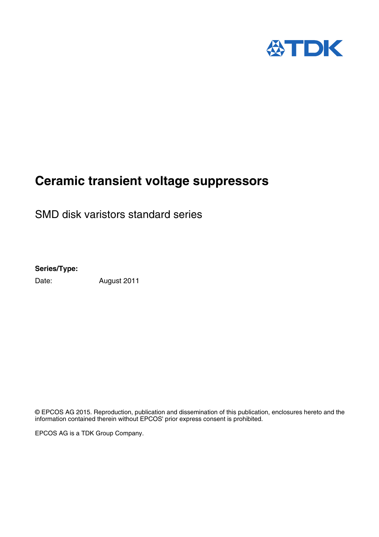

## **Ceramic transient voltage suppressors**

SMD disk varistors standard series

**Series/Type:**

Date: August 2011

© EPCOS AG 2015. Reproduction, publication and dissemination of this publication, enclosures hereto and the information contained therein without EPCOS' prior express consent is prohibited.

EPCOS AG is a TDK Group Company.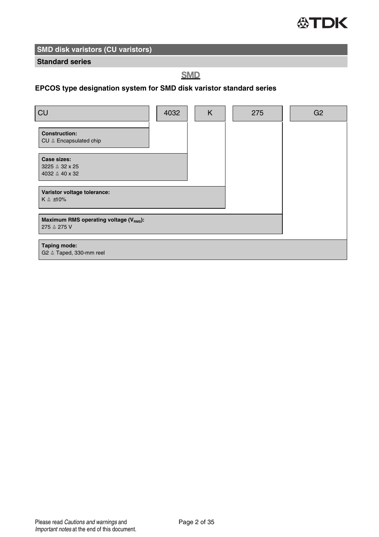

#### **Standard series**

## **SMD**

## **EPCOS type designation system for SMD disk varistor standard series**

| CU                                                                             | 4032 | K | 275 | G <sub>2</sub> |
|--------------------------------------------------------------------------------|------|---|-----|----------------|
| <b>Construction:</b><br>CU <sup><math>\triangle</math></sup> Encapsulated chip |      |   |     |                |
| Case sizes:<br>$3225 \triangleq 32 \times 25$<br>$4032 \triangle 40 \times 32$ |      |   |     |                |
| Varistor voltage tolerance:<br>$K \triangleq \pm 10\%$                         |      |   |     |                |
| Maximum RMS operating voltage (VRMS):<br>275 ≙ 275 V                           |      |   |     |                |
| Taping mode:<br>G2 ≙ Taped, 330-mm reel                                        |      |   |     |                |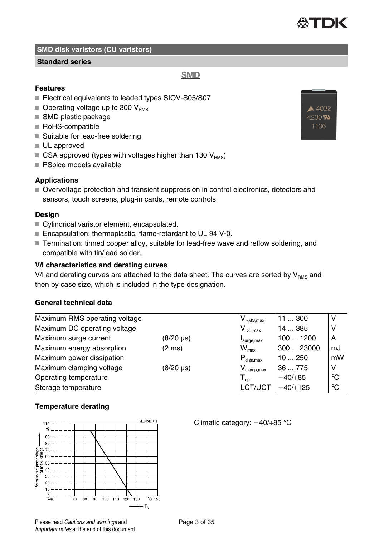#### **Standard series**

**Features**

- Electrical equivalents to leaded types SIOV-S05/S07
- $\blacksquare$  Operating voltage up to 300 V<sub>RMS</sub>
- SMD plastic package
- RoHS-compatible
- Suitable for lead-free soldering
- UL approved
- $\blacksquare$  CSA approved (types with voltages higher than 130  $V_{\text{PMS}}$ )
- **PSpice models available**

#### **Applications**

Overvoltage protection and transient suppression in control electronics, detectors and sensors, touch screens, plug-in cards, remote controls

#### **Design**

- Cylindrical varistor element, encapsulated.
- Encapsulation: thermoplastic, flame-retardant to UL 94 V-0.
- Termination: tinned copper alloy, suitable for lead-free wave and reflow soldering, and compatible with tin/lead solder.

#### **V/I characteristics and derating curves**

V/I and derating curves are attached to the data sheet. The curves are sorted by  $V_{\text{RMS}}$  and then by case size, which is included in the type designation.

## **General technical data**

| Maximum RMS operating voltage | $V_{\text{RMS},\text{max}}$ | 11300                                      | ν          |              |
|-------------------------------|-----------------------------|--------------------------------------------|------------|--------------|
| Maximum DC operating voltage  | $V_{DC,max}$                | 14  385                                    | v          |              |
| Maximum surge current         | (8/20 µs)                   | surge, max                                 | 1001200    | A            |
| Maximum energy absorption     | $(2 \text{ ms})$            | $W_{\text{max}}$                           | 300  23000 | mJ           |
| Maximum power dissipation     |                             | $P_{\text{diss.max}}$                      | 10250      | mW           |
| Maximum clamping voltage      | $(8/20 \,\mu s)$            | $\mathsf{V}_{\mathsf{clamp},\mathsf{max}}$ | 36775      | v            |
| Operating temperature         |                             | $\mathsf{T}_{\mathsf{oo}}$                 | $-40/+85$  | $^{\circ}$ C |
| Storage temperature           |                             | LCT/UCT                                    | $-40/+125$ | $^{\circ}C$  |

#### **Temperature derating**



Important notes at the end of this document.

Climatic category:  $-40/+85$  °C





## **SMD**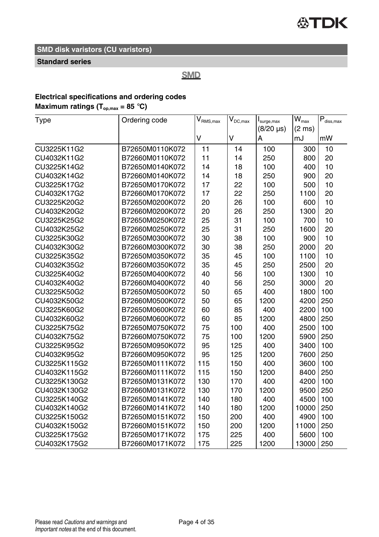## **Standard series**

**SMD** 

## **Electrical specifications and ordering codes**

## **Maximum ratings (** $T_{op,max}$  **= 85 °C)**

| Type         | Ordering code   | $\mathsf{V}_{\mathsf{RMS},\mathsf{max}}$ | $\mathsf{V}_{\mathsf{DC},\max}$ | I <sub>sure,max</sub> | $\overline{W}_{\text{max}}$ | $\mathsf{P}_{\text{diss,max}}$ |
|--------------|-----------------|------------------------------------------|---------------------------------|-----------------------|-----------------------------|--------------------------------|
|              |                 |                                          |                                 | (8/20 µs)             | $(2 \text{ ms})$            |                                |
|              |                 | V                                        | V                               | А                     | mJ                          | mW                             |
| CU3225K11G2  | B72650M0110K072 | 11                                       | 14                              | 100                   | 300                         | 10                             |
| CU4032K11G2  | B72660M0110K072 | 11                                       | 14                              | 250                   | 800                         | 20                             |
| CU3225K14G2  | B72650M0140K072 | 14                                       | 18                              | 100                   | 400                         | 10                             |
| CU4032K14G2  | B72660M0140K072 | 14                                       | 18                              | 250                   | 900                         | 20                             |
| CU3225K17G2  | B72650M0170K072 | 17                                       | 22                              | 100                   | 500                         | 10                             |
| CU4032K17G2  | B72660M0170K072 | 17                                       | 22                              | 250                   | 1100                        | 20                             |
| CU3225K20G2  | B72650M0200K072 | 20                                       | 26                              | 100                   | 600                         | 10                             |
| CU4032K20G2  | B72660M0200K072 | 20                                       | 26                              | 250                   | 1300                        | 20                             |
| CU3225K25G2  | B72650M0250K072 | 25                                       | 31                              | 100                   | 700                         | 10                             |
| CU4032K25G2  | B72660M0250K072 | 25                                       | 31                              | 250                   | 1600                        | 20                             |
| CU3225K30G2  | B72650M0300K072 | 30                                       | 38                              | 100                   | 900                         | 10                             |
| CU4032K30G2  | B72660M0300K072 | 30                                       | 38                              | 250                   | 2000                        | 20                             |
| CU3225K35G2  | B72650M0350K072 | 35                                       | 45                              | 100                   | 1100                        | 10                             |
| CU4032K35G2  | B72660M0350K072 | 35                                       | 45                              | 250                   | 2500                        | 20                             |
| CU3225K40G2  | B72650M0400K072 | 40                                       | 56                              | 100                   | 1300                        | 10                             |
| CU4032K40G2  | B72660M0400K072 | 40                                       | 56                              | 250                   | 3000                        | 20                             |
| CU3225K50G2  | B72650M0500K072 | 50                                       | 65                              | 400                   | 1800                        | 100                            |
| CU4032K50G2  | B72660M0500K072 | 50                                       | 65                              | 1200                  | 4200                        | 250                            |
| CU3225K60G2  | B72650M0600K072 | 60                                       | 85                              | 400                   | 2200                        | 100                            |
| CU4032K60G2  | B72660M0600K072 | 60                                       | 85                              | 1200                  | 4800                        | 250                            |
| CU3225K75G2  | B72650M0750K072 | 75                                       | 100                             | 400                   | 2500                        | 100                            |
| CU4032K75G2  | B72660M0750K072 | 75                                       | 100                             | 1200                  | 5900                        | 250                            |
| CU3225K95G2  | B72650M0950K072 | 95                                       | 125                             | 400                   | 3400                        | 100                            |
| CU4032K95G2  | B72660M0950K072 | 95                                       | 125                             | 1200                  | 7600                        | 250                            |
| CU3225K115G2 | B72650M0111K072 | 115                                      | 150                             | 400                   | 3600                        | 100                            |
| CU4032K115G2 | B72660M0111K072 | 115                                      | 150                             | 1200                  | 8400                        | 250                            |
| CU3225K130G2 | B72650M0131K072 | 130                                      | 170                             | 400                   | 4200                        | 100                            |
| CU4032K130G2 | B72660M0131K072 | 130                                      | 170                             | 1200                  | 9500                        | 250                            |
| CU3225K140G2 | B72650M0141K072 | 140                                      | 180                             | 400                   | 4500                        | 100                            |
| CU4032K140G2 | B72660M0141K072 | 140                                      | 180                             | 1200                  | 10000                       | 250                            |
| CU3225K150G2 | B72650M0151K072 | 150                                      | 200                             | 400                   | 4900                        | 100                            |
| CU4032K150G2 | B72660M0151K072 | 150                                      | 200                             | 1200                  | 11000                       | 250                            |
| CU3225K175G2 | B72650M0171K072 | 175                                      | 225                             | 400                   | 5600                        | 100                            |
| CU4032K175G2 | B72660M0171K072 | 175                                      | 225                             | 1200                  | 13000                       | 250                            |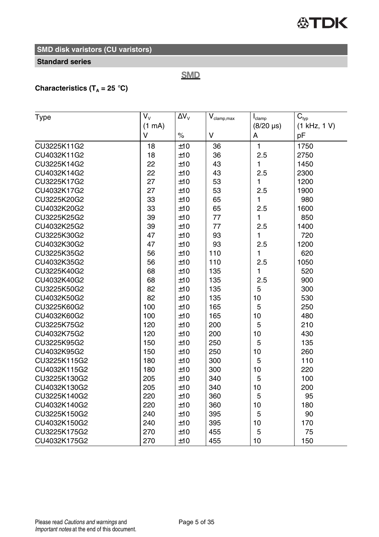## **公TDK**

## **SMD disk varistors (CU varistors)**

#### **Standard series**

## **SMD**

## **Characteristics (T<sub>A</sub> = 25 °C)**

| Type         | $V_{V}$ | $\Delta V_{\rm v}$ | $\mathsf{V}_{\text{clamp,max}}$ | $I_{\text{clamp}}$ | $\mathbf{C}_{\text{typ}}$ |
|--------------|---------|--------------------|---------------------------------|--------------------|---------------------------|
|              | (1 mA)  |                    |                                 | $(8/20 \,\mu s)$   | (1 kHz, 1 V)              |
|              | $\vee$  | $\%$               | v                               | А                  | pF                        |
| CU3225K11G2  | 18      | ±10                | 36                              | 1                  | 1750                      |
| CU4032K11G2  | 18      | ±10                | 36                              | 2.5                | 2750                      |
| CU3225K14G2  | 22      | ±10                | 43                              | 1                  | 1450                      |
| CU4032K14G2  | 22      | ±10                | 43                              | 2.5                | 2300                      |
| CU3225K17G2  | 27      | ±10                | 53                              | 1                  | 1200                      |
| CU4032K17G2  | 27      | ±10                | 53                              | 2.5                | 1900                      |
| CU3225K20G2  | 33      | ±10                | 65                              | 1                  | 980                       |
| CU4032K20G2  | 33      | ±10                | 65                              | 2.5                | 1600                      |
| CU3225K25G2  | 39      | ±10                | 77                              | 1                  | 850                       |
| CU4032K25G2  | 39      | ±10                | 77                              | 2.5                | 1400                      |
| CU3225K30G2  | 47      | ±10                | 93                              | 1                  | 720                       |
| CU4032K30G2  | 47      | ±10                | 93                              | 2.5                | 1200                      |
| CU3225K35G2  | 56      | ±10                | 110                             | 1                  | 620                       |
| CU4032K35G2  | 56      | ±10                | 110                             | 2.5                | 1050                      |
| CU3225K40G2  | 68      | ±10                | 135                             | 1                  | 520                       |
| CU4032K40G2  | 68      | ±10                | 135                             | 2.5                | 900                       |
| CU3225K50G2  | 82      | ±10                | 135                             | 5                  | 300                       |
| CU4032K50G2  | 82      | ±10                | 135                             | 10                 | 530                       |
| CU3225K60G2  | 100     | ±10                | 165                             | 5                  | 250                       |
| CU4032K60G2  | 100     | ±10                | 165                             | 10                 | 480                       |
| CU3225K75G2  | 120     | ±10                | 200                             | 5                  | 210                       |
| CU4032K75G2  | 120     | ±10                | 200                             | 10                 | 430                       |
| CU3225K95G2  | 150     | ±10                | 250                             | 5                  | 135                       |
| CU4032K95G2  | 150     | ±10                | 250                             | 10                 | 260                       |
| CU3225K115G2 | 180     | ±10                | 300                             | 5                  | 110                       |
| CU4032K115G2 | 180     | ±10                | 300                             | 10                 | 220                       |
| CU3225K130G2 | 205     | ±10                | 340                             | 5                  | 100                       |
| CU4032K130G2 | 205     | ±10                | 340                             | 10                 | 200                       |
| CU3225K140G2 | 220     | ±10                | 360                             | 5                  | 95                        |
| CU4032K140G2 | 220     | ±10                | 360                             | 10                 | 180                       |
| CU3225K150G2 | 240     | ±10                | 395                             | 5                  | 90                        |
| CU4032K150G2 | 240     | ±10                | 395                             | 10                 | 170                       |
| CU3225K175G2 | 270     | ±10                | 455                             | 5                  | 75                        |
| CU4032K175G2 | 270     | ±10                | 455                             | 10                 | 150                       |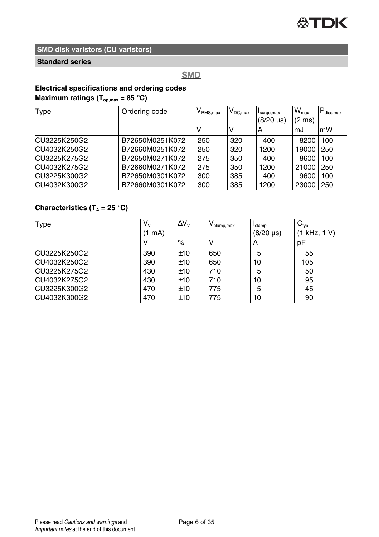## **Standard series**

## **SMD**

## **Electrical specifications and ordering codes Maximum ratings (Top,max = 85** °**C)**

| Type         | Ordering code   | $V_{\rm RMS,max}$ | $\mathsf{V}_\mathsf{DC,max}$ | surge, max<br>(8/20 µs) | $W_{\text{max}}$<br>$(2 \text{ ms})$ | diss.max |
|--------------|-----------------|-------------------|------------------------------|-------------------------|--------------------------------------|----------|
|              |                 |                   |                              | А                       | mJ                                   | mW       |
| CU3225K250G2 | B72650M0251K072 | 250               | 320                          | 400                     | 8200                                 | 100      |
| CU4032K250G2 | B72660M0251K072 | 250               | 320                          | 1200                    | 19000                                | 250      |
| CU3225K275G2 | B72650M0271K072 | 275               | 350                          | 400                     | 8600                                 | 100      |
| CU4032K275G2 | B72660M0271K072 | 275               | 350                          | 1200                    | 21000                                | 250      |
| CU3225K300G2 | B72650M0301K072 | 300               | 385                          | 400                     | 9600                                 | 100      |
| CU4032K300G2 | B72660M0301K072 | 300               | 385                          | 1200                    | 23000                                | 250      |

## **Characteristics (T<sup>A</sup> = 25** °**C)**

| Type         | V <sub>v</sub> | $\Delta V_{V}$ | $V_{\text{clamp,max}}$ | clamp            | $C_{typ}$    |
|--------------|----------------|----------------|------------------------|------------------|--------------|
|              | mA)            |                |                        | $(8/20 \,\mu s)$ | (1 kHz, 1 V) |
|              | ν              | $\%$           | ν                      | А                | рF           |
| CU3225K250G2 | 390            | ±10            | 650                    | 5                | 55           |
| CU4032K250G2 | 390            | ±10            | 650                    | 10               | 105          |
| CU3225K275G2 | 430            | ±10            | 710                    | 5                | 50           |
| CU4032K275G2 | 430            | ±10            | 710                    | 10               | 95           |
| CU3225K300G2 | 470            | ±10            | 775                    | 5                | 45           |
| CU4032K300G2 | 470            | ±10            | 775                    | 10               | 90           |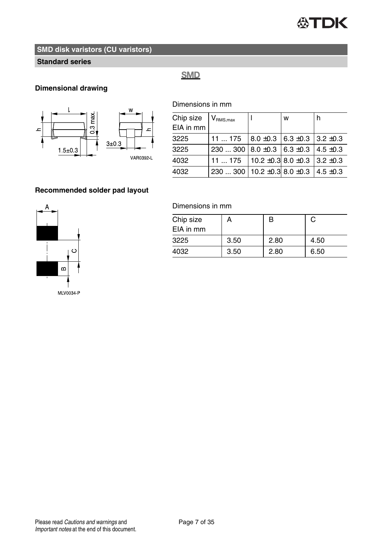

#### **Standard series**

## **SMD**

## **Dimensional drawing**



Dimensions in mm

| Chip size<br>EIA in mm | $V_{\text{RMS},\text{max}}$                              |                                            | W | h             |
|------------------------|----------------------------------------------------------|--------------------------------------------|---|---------------|
| 3225                   | 11175                                                    | $8.0 \pm 0.3$ 6.3 $\pm 0.3$ 3.2 $\pm 0.3$  |   |               |
| 3225                   | 230  300   8.0 $\pm$ 0.3   6.3 $\pm$ 0.3   4.5 $\pm$ 0.3 |                                            |   |               |
| 4032                   | 11175                                                    | 10.2 $\pm$ 0.3 8.0 $\pm$ 0.3 3.2 $\pm$ 0.3 |   |               |
| 4032                   | 230  300   10.2 $\pm$ 0.3 8.0 $\pm$ 0.3                  |                                            |   | $4.5 \pm 0.3$ |
|                        |                                                          |                                            |   |               |

#### **Recommended solder pad layout**



#### Dimensions in mm

| Chip size<br>EIA in mm | А    | B    | С    |
|------------------------|------|------|------|
| 3225                   | 3.50 | 2.80 | 4.50 |
| 4032                   | 3.50 | 2.80 | 6.50 |
|                        |      |      |      |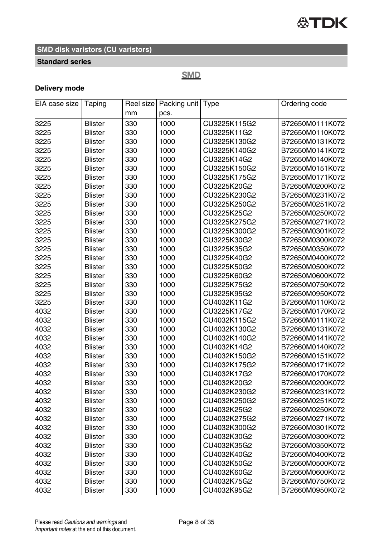

#### **Standard series**

## **SMD**

## **Delivery mode**

| EIA case size | Taping         |     | Reel size   Packing unit   Type |              | Ordering code   |
|---------------|----------------|-----|---------------------------------|--------------|-----------------|
|               |                | mm  | pcs.                            |              |                 |
| 3225          | <b>Blister</b> | 330 | 1000                            | CU3225K115G2 | B72650M0111K072 |
| 3225          | <b>Blister</b> | 330 | 1000                            | CU3225K11G2  | B72650M0110K072 |
| 3225          | <b>Blister</b> | 330 | 1000                            | CU3225K130G2 | B72650M0131K072 |
| 3225          | <b>Blister</b> | 330 | 1000                            | CU3225K140G2 | B72650M0141K072 |
| 3225          | <b>Blister</b> | 330 | 1000                            | CU3225K14G2  | B72650M0140K072 |
| 3225          | <b>Blister</b> | 330 | 1000                            | CU3225K150G2 | B72650M0151K072 |
| 3225          | <b>Blister</b> | 330 | 1000                            | CU3225K175G2 | B72650M0171K072 |
| 3225          | <b>Blister</b> | 330 | 1000                            | CU3225K20G2  | B72650M0200K072 |
| 3225          | <b>Blister</b> | 330 | 1000                            | CU3225K230G2 | B72650M0231K072 |
| 3225          | <b>Blister</b> | 330 | 1000                            | CU3225K250G2 | B72650M0251K072 |
| 3225          | <b>Blister</b> | 330 | 1000                            | CU3225K25G2  | B72650M0250K072 |
| 3225          | <b>Blister</b> | 330 | 1000                            | CU3225K275G2 | B72650M0271K072 |
| 3225          | <b>Blister</b> | 330 | 1000                            | CU3225K300G2 | B72650M0301K072 |
| 3225          | <b>Blister</b> | 330 | 1000                            | CU3225K30G2  | B72650M0300K072 |
| 3225          | <b>Blister</b> | 330 | 1000                            | CU3225K35G2  | B72650M0350K072 |
| 3225          | <b>Blister</b> | 330 | 1000                            | CU3225K40G2  | B72650M0400K072 |
| 3225          | <b>Blister</b> | 330 | 1000                            | CU3225K50G2  | B72650M0500K072 |
| 3225          | <b>Blister</b> | 330 | 1000                            | CU3225K60G2  | B72650M0600K072 |
| 3225          | <b>Blister</b> | 330 | 1000                            | CU3225K75G2  | B72650M0750K072 |
| 3225          | <b>Blister</b> | 330 | 1000                            | CU3225K95G2  | B72650M0950K072 |
| 3225          | <b>Blister</b> | 330 | 1000                            | CU4032K11G2  | B72660M0110K072 |
| 4032          | <b>Blister</b> | 330 | 1000                            | CU3225K17G2  | B72650M0170K072 |
| 4032          | <b>Blister</b> | 330 | 1000                            | CU4032K115G2 | B72660M0111K072 |
| 4032          | <b>Blister</b> | 330 | 1000                            | CU4032K130G2 | B72660M0131K072 |
| 4032          | <b>Blister</b> | 330 | 1000                            | CU4032K140G2 | B72660M0141K072 |
| 4032          | <b>Blister</b> | 330 | 1000                            | CU4032K14G2  | B72660M0140K072 |
| 4032          | <b>Blister</b> | 330 | 1000                            | CU4032K150G2 | B72660M0151K072 |
| 4032          | <b>Blister</b> | 330 | 1000                            | CU4032K175G2 | B72660M0171K072 |
| 4032          | <b>Blister</b> | 330 | 1000                            | CU4032K17G2  | B72660M0170K072 |
| 4032          | <b>Blister</b> | 330 | 1000                            | CU4032K20G2  | B72660M0200K072 |
| 4032          | <b>Blister</b> | 330 | 1000                            | CU4032K230G2 | B72660M0231K072 |
| 4032          | <b>Blister</b> | 330 | 1000                            | CU4032K250G2 | B72660M0251K072 |
| 4032          | <b>Blister</b> | 330 | 1000                            | CU4032K25G2  | B72660M0250K072 |
| 4032          | <b>Blister</b> | 330 | 1000                            | CU4032K275G2 | B72660M0271K072 |
| 4032          | <b>Blister</b> | 330 | 1000                            | CU4032K300G2 | B72660M0301K072 |
| 4032          | <b>Blister</b> | 330 | 1000                            | CU4032K30G2  | B72660M0300K072 |
| 4032          | <b>Blister</b> | 330 | 1000                            | CU4032K35G2  | B72660M0350K072 |
| 4032          | <b>Blister</b> | 330 | 1000                            | CU4032K40G2  | B72660M0400K072 |
| 4032          | <b>Blister</b> | 330 | 1000                            | CU4032K50G2  | B72660M0500K072 |
| 4032          | <b>Blister</b> | 330 | 1000                            | CU4032K60G2  | B72660M0600K072 |
| 4032          | <b>Blister</b> | 330 | 1000                            | CU4032K75G2  | B72660M0750K072 |
| 4032          | <b>Blister</b> | 330 | 1000                            | CU4032K95G2  | B72660M0950K072 |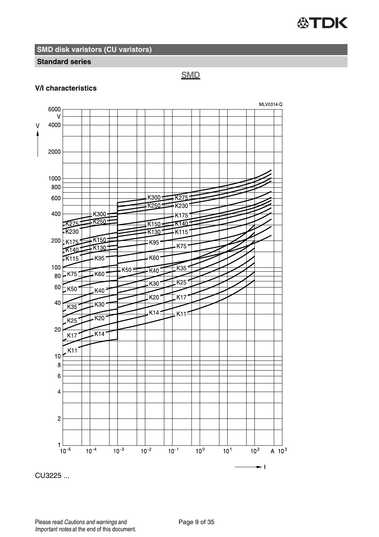

#### **Standard series**

## **SMD**

#### **V/I characteristics**



CU3225 ...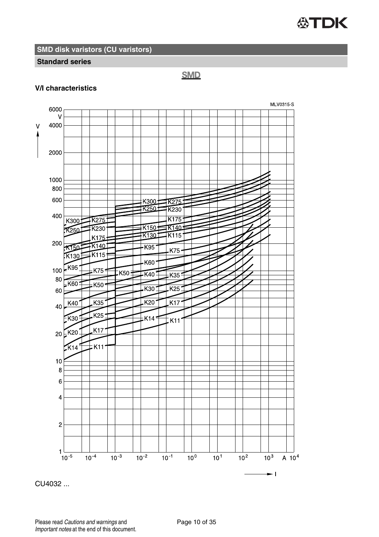

#### **Standard series**

**SMD** 

#### **V/I characteristics**



CU4032 ...

Please read Cautions and warnings and <br>
Page 10 of 35 Important notes at the end of this document.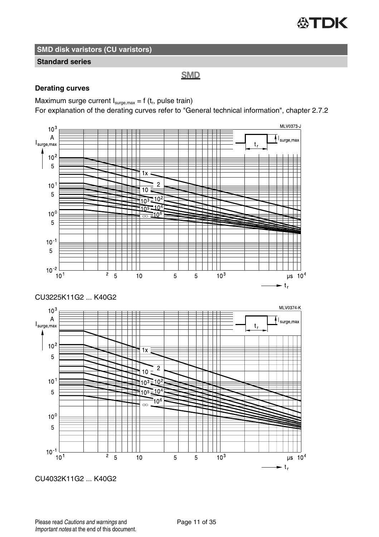## **公TDK**

**SMD disk varistors (CU varistors)**

#### **Standard series**

## **SMD**

#### **Derating curves**

Maximum surge current  $I_{\text{surge,max}} = f(t_r)$ , pulse train)

For explanation of the derating curves refer to "General technical information", chapter 2.7.2



CU4032K11G2 ... K40G2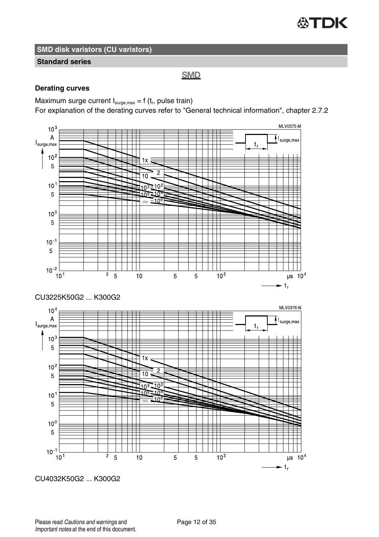

#### **Standard series**

## **SMD**

#### **Derating curves**

Maximum surge current  $I_{\text{surge,max}} = f(t_r)$ , pulse train)

For explanation of the derating curves refer to "General technical information", chapter 2.7.2

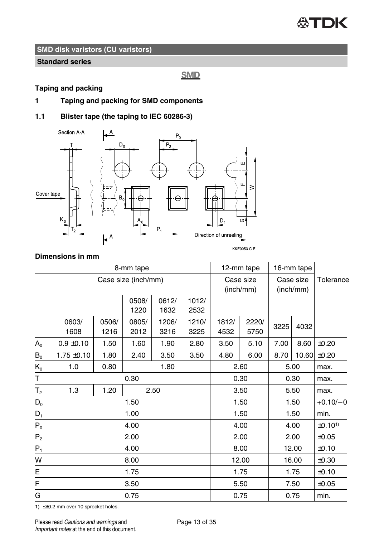

#### **Standard series**

**SMD** 

#### **Taping and packing**

**1 Taping and packing for SMD components**

## **1.1 Blister tape (the taping to IEC 60286-3)**



#### **Dimensions in mm**

|                |                 |               | 8-mm tape           |               | 12-mm tape             |               | 16-mm tape             |      |           |                    |
|----------------|-----------------|---------------|---------------------|---------------|------------------------|---------------|------------------------|------|-----------|--------------------|
|                |                 |               | Case size (inch/mm) |               | Case size<br>(inch/mm) |               | Case size<br>(inch/mm) |      | Tolerance |                    |
|                |                 |               | 0508/<br>1220       | 0612/<br>1632 | 1012/<br>2532          |               |                        |      |           |                    |
|                | 0603/<br>1608   | 0506/<br>1216 | 0805/<br>2012       | 1206/<br>3216 | 1210/<br>3225          | 1812/<br>4532 | 2220/<br>5750          | 3225 | 4032      |                    |
| $A_{0}$        | $0.9 \pm 0.10$  | 1.50          | 1.60                | 1.90          | 2.80                   | 3.50          | 5.10                   | 7.00 | 8.60      | ±0.20              |
| $B_0$          | $1.75 \pm 0.10$ | 1.80          | 2.40                | 3.50          | 3.50                   | 4.80          | 6.00                   | 8.70 | 10.60     | ±0.20              |
| $K_0$          | 1.0             | 0.80          |                     | 1.80          |                        |               | 2.60                   |      | 5.00      | max.               |
| Τ              | 0.30            |               |                     |               |                        |               | 0.30                   |      | 0.30      | max.               |
| T <sub>2</sub> | 1.3             | 1.20          |                     | 2.50          |                        |               | 3.50                   |      | 5.50      | max.               |
| $D_0$          |                 |               | 1.50                |               |                        |               | 1.50                   |      | 1.50      | $+0.10/-0$         |
| $D_1$          |                 |               | 1.00                |               |                        |               | 1.50                   |      | 1.50      | min.               |
| $P_0$          |                 |               | 4.00                |               |                        |               | 4.00                   |      | 4.00      | ±0.10 <sup>1</sup> |
| P <sub>2</sub> |                 |               | 2.00                |               |                        |               | 2.00                   | 2.00 |           | $\pm 0.05$         |
| $P_1$          | 4.00            |               |                     |               |                        |               | 8.00                   |      | 12.00     | ±0.10              |
| W              | 8.00            |               |                     |               |                        |               | 12.00                  |      | 16.00     | ±0.30              |
| E              | 1.75            |               |                     |               |                        |               | 1.75                   |      | 1.75      | ±0.10              |
| F              |                 |               | 3.50                |               |                        |               | 5.50                   |      | 7.50      | ±0.05              |
| G              |                 |               | 0.75                |               |                        |               | 0.75                   |      | 0.75      | min.               |

1) ≤±0.2 mm over 10 sprocket holes.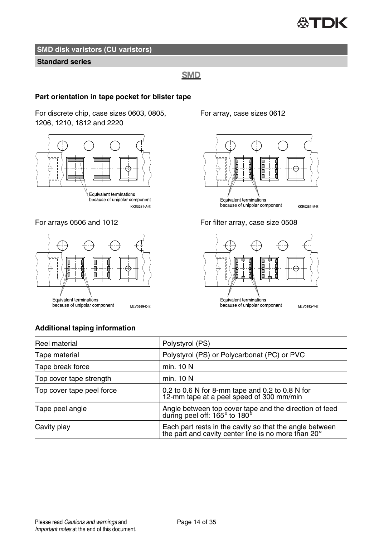

#### **Standard series**

#### **SMD**

#### **Part orientation in tape pocket for blister tape**

For discrete chip, case sizes 0603, 0805, 1206, 1210, 1812 and 2220



because of unipolar component KKE0351-A-E



For array, case sizes 0612



For arrays 0506 and 1012 For filter array, case size 0508



#### **Additional taping information**

Reel material **Polystyrol** (PS) Tape material Polystyrol (PS) or Polycarbonat (PC) or PVC Tape break force min. 10 N Top cover tape strength min. 10 N Top cover tape peel force  $0.2$  to 0.6 N for 8-mm tape and 0.2 to 0.8 N for 12-mm tape at a peel speed of 300 mm/min Tape peel angle Angle between top cover tape and the direction of feed during peel off: 165° to 180° Cavity play Each part rests in the cavity so that the angle between the part and cavity center line is no more than 20°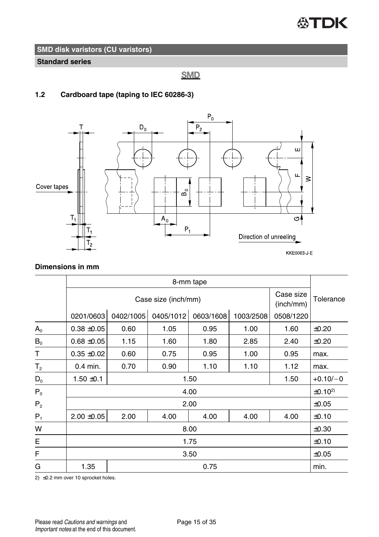

**Standard series**

## **SMD**

## **1.2 Cardboard tape (taping to IEC 60286-3)**



#### **Dimensions in mm**

|                | 8-mm tape                                     |           |           |           |           |           |                    |
|----------------|-----------------------------------------------|-----------|-----------|-----------|-----------|-----------|--------------------|
|                | Case size<br>Case size (inch/mm)<br>(inch/mm) |           |           |           |           |           | Tolerance          |
|                | 0201/0603                                     | 0402/1005 | 0405/1012 | 0603/1608 | 1003/2508 | 0508/1220 |                    |
| $A_0$          | $0.38 + 0.05$                                 | 0.60      | 1.05      | 0.95      | 1.00      | 1.60      | ±0.20              |
| $B_0$          | $0.68 + 0.05$                                 | 1.15      | 1.60      | 1.80      | 2.85      | 2.40      | ±0.20              |
| Т              | $0.35 + 0.02$                                 | 0.60      | 0.75      | 0.95      | 1.00      | 0.95      | max.               |
| T <sub>2</sub> | 0.4 min.                                      | 0.70      | 0.90      | 1.10      | 1.10      | 1.12      | max.               |
| $D_0$          | $1.50 \pm 0.1$                                |           |           | 1.50      |           | 1.50      | $+0.10/-0$         |
| $P_0$          |                                               |           |           | 4.00      |           |           | ±0.10 <sup>2</sup> |
| P <sub>2</sub> |                                               |           |           | 2.00      |           |           | ±0.05              |
| $P_1$          | $2.00 \pm 0.05$                               | 2.00      | 4.00      | 4.00      | 4.00      | 4.00      | ±0.10              |
| W              | 8.00                                          |           |           |           |           |           |                    |
| Е              | 1.75                                          |           |           |           |           |           | ±0.10              |
| F              |                                               |           |           | 3.50      |           |           | $\pm 0.05$         |
| G              | 1.35                                          |           |           | 0.75      |           |           | min.               |

2) ≤0.2 mm over 10 sprocket holes.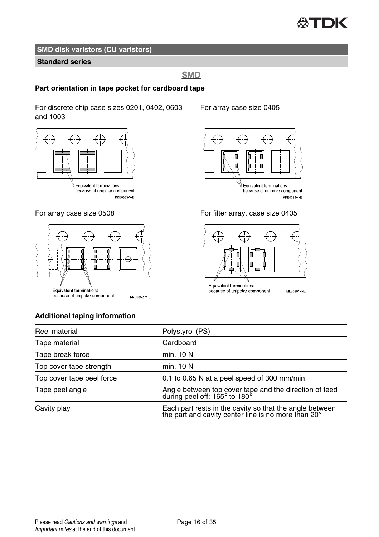#### 怂 TDK

## **SMD disk varistors (CU varistors)**

#### **Standard series**

## **SMD**

#### **Part orientation in tape pocket for cardboard tape**

For discrete chip case sizes 0201, 0402, 0603 and 1003





For array case size 0508 For filter array, case size 0405



#### For array case size 0405





### **Additional taping information**

| Reel material             | Polystyrol (PS)                                                                                                         |
|---------------------------|-------------------------------------------------------------------------------------------------------------------------|
| Tape material             | Cardboard                                                                                                               |
| Tape break force          | min. 10 N                                                                                                               |
| Top cover tape strength   | min. 10 N                                                                                                               |
| Top cover tape peel force | 0.1 to 0.65 N at a peel speed of 300 mm/min                                                                             |
| Tape peel angle           | Angle between top cover tape and the direction of feed<br>during peel off: 165° to 180°                                 |
| Cavity play               | Each part rests in the cavity so that the angle between<br>the part and cavity center line is no more than $20^{\circ}$ |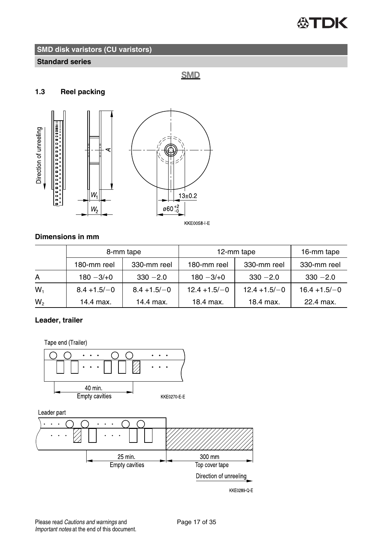

#### **Standard series**

## **SMD**

#### **1.3 Reel packing**



## **Dimensions in mm**

|       | 8-mm tape      |                | 12-mm tape      | 16-mm tape      |                 |
|-------|----------------|----------------|-----------------|-----------------|-----------------|
|       | 180-mm reel    | 330-mm reel    | 180-mm reel     | 330-mm reel     | 330-mm reel     |
| A     | $180 - 3/10$   | $330 - 2.0$    | $180 - 3/10$    | $330 - 2.0$     | $330 - 2.0$     |
| $W_1$ | $8.4 + 1.5/-0$ | $8.4 + 1.5/-0$ | $12.4 + 1.5/-0$ | $12.4 + 1.5/-0$ | $16.4 + 1.5/-0$ |
| W,    | 14.4 max.      | 14.4 max.      | 18.4 max.       | 18.4 max.       | 22.4 max.       |

## **Leader, trailer**

Tape end (Trailer)

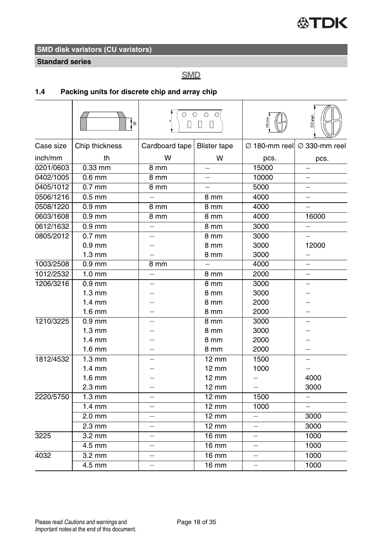**Standard series**

## **SMD**

## **1.4 Packing units for discrete chip and array chip**

|           | i th             | П                        | $\circ$ $\circ$ $\circ$ $\circ$<br>$\Box$<br>П |                          | 330 mm                                              |
|-----------|------------------|--------------------------|------------------------------------------------|--------------------------|-----------------------------------------------------|
| Case size | Chip thickness   | Cardboard tape           | <b>Blister tape</b>                            |                          | $\varnothing$ 180-mm reel $\varnothing$ 330-mm reel |
| inch/mm   | th               | W                        | W                                              | pcs.                     | pcs.                                                |
| 0201/0603 | $0.33$ mm        | 8 mm                     |                                                | 15000                    |                                                     |
| 0402/1005 | $0.6$ mm         | 8 mm                     | $\equiv$                                       | 10000                    | ÷,                                                  |
| 0405/1012 | $0.7$ mm         | 8 mm                     | $\equiv$                                       | 5000                     | $\overline{\phantom{0}}$                            |
| 0506/1216 | $0.5$ mm         |                          | 8 mm                                           | 4000                     | $\overline{\phantom{0}}$                            |
| 0508/1220 | $0.9$ mm         | 8 mm                     | 8 mm                                           | 4000                     |                                                     |
| 0603/1608 | $0.9$ mm         | 8 mm                     | 8 mm                                           | 4000                     | 16000                                               |
| 0612/1632 | $0.9$ mm         | —                        | 8 mm                                           | 3000                     | -                                                   |
| 0805/2012 | $0.7$ mm         |                          | 8 mm                                           | 3000                     |                                                     |
|           | $0.9$ mm         |                          | 8 mm                                           | 3000                     | 12000                                               |
|           | $1.3 \text{ mm}$ |                          | 8 mm                                           | 3000                     | $\overline{\phantom{0}}$                            |
| 1003/2508 | $0.9$ mm         | 8 mm                     |                                                | 4000                     |                                                     |
| 1012/2532 | $1.0 \text{ mm}$ |                          | 8 mm                                           | 2000                     |                                                     |
| 1206/3216 | $0.9$ mm         |                          | 8 mm                                           | 3000                     |                                                     |
|           | $1.3 \text{ mm}$ |                          | 8 mm                                           | 3000                     |                                                     |
|           | $1.4 \text{ mm}$ |                          | 8 mm                                           | 2000                     |                                                     |
|           | $1.6 \text{ mm}$ |                          | 8 mm                                           | 2000                     |                                                     |
| 1210/3225 | $0.9$ mm         |                          | 8 mm                                           | 3000                     |                                                     |
|           | $1.3 \text{ mm}$ |                          | 8 mm                                           | 3000                     |                                                     |
|           | $1.4 \text{ mm}$ |                          | 8 mm                                           | 2000                     |                                                     |
|           | $1.6 \text{ mm}$ |                          | 8 mm                                           | 2000                     |                                                     |
| 1812/4532 | $1.3 \text{ mm}$ |                          | $\overline{12}$ mm                             | 1500                     |                                                     |
|           | $1.4 \text{ mm}$ |                          | $12 \text{ mm}$                                | 1000                     |                                                     |
|           | $1.6$ mm         |                          | $12 \text{ mm}$                                |                          | 4000                                                |
|           | 2.3 mm           |                          | 12 mm                                          |                          | 3000                                                |
| 2220/5750 | $1.3 \text{ mm}$ |                          | $12 \text{ mm}$                                | 1500                     |                                                     |
|           | $1.4 \text{ mm}$ |                          | $12 \text{ mm}$                                | 1000                     |                                                     |
|           | $2.0$ mm         |                          | $\overline{12}$ mm                             |                          | 3000                                                |
|           | $2.3$ mm         |                          | $12 \text{ mm}$                                | $\equiv$                 | 3000                                                |
| 3225      | $3.2 \text{ mm}$ |                          | 16 mm                                          | $\overline{\phantom{0}}$ | 1000                                                |
|           | 4.5 mm           | $\overline{\phantom{0}}$ | $16 \text{ mm}$                                | $\overline{\phantom{0}}$ | 1000                                                |
| 4032      | $3.2$ mm         |                          | 16 mm                                          | $\overline{\phantom{0}}$ | 1000                                                |
|           | 4.5 mm           |                          | $16 \text{ mm}$                                | $\overline{\phantom{0}}$ | 1000                                                |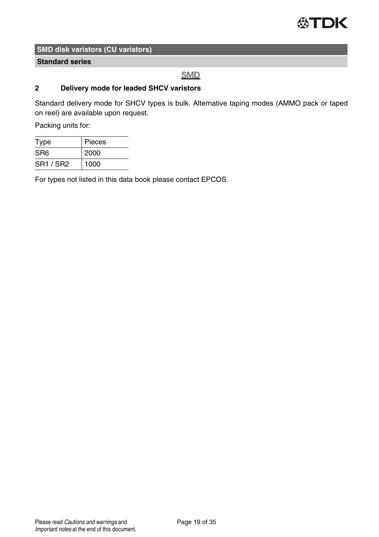

#### **Standard series**

## **SMD**

#### **2 Delivery mode for leaded SHCV varistors**

Standard delivery mode for SHCV types is bulk. Alternative taping modes (AMMO pack or taped on reel) are available upon request.

Packing units for:

| Type             | Pieces |  |
|------------------|--------|--|
| SR <sub>6</sub>  | 2000   |  |
| <b>SR1 / SR2</b> | 1000   |  |

For types not listed in this data book please contact EPCOS.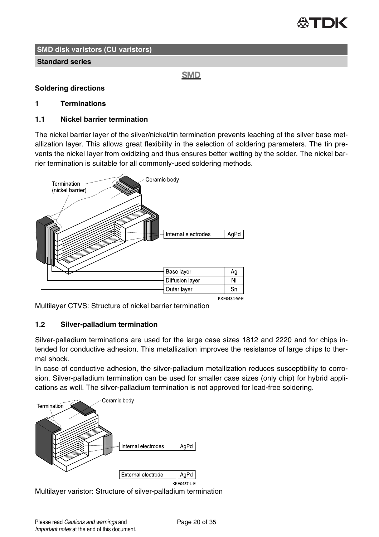

#### **Standard series**

**SMD** 

#### **Soldering directions**

#### **1 Terminations**

#### **1.1 Nickel barrier termination**

The nickel barrier layer of the silver/nickel/tin termination prevents leaching of the silver base metallization layer. This allows great flexibility in the selection of soldering parameters. The tin prevents the nickel layer from oxidizing and thus ensures better wetting by the solder. The nickel barrier termination is suitable for all commonly-used soldering methods.



KKF0484 W F

Multilayer CTVS: Structure of nickel barrier termination

#### **1.2 Silver-palladium termination**

Silver-palladium terminations are used for the large case sizes 1812 and 2220 and for chips intended for conductive adhesion. This metallization improves the resistance of large chips to thermal shock.

In case of conductive adhesion, the silver-palladium metallization reduces susceptibility to corrosion. Silver-palladium termination can be used for smaller case sizes (only chip) for hybrid applications as well. The silver-palladium termination is not approved for lead-free soldering.



Multilayer varistor: Structure of silver-palladium termination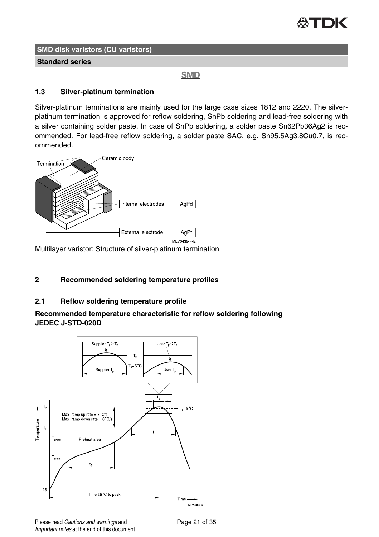

**Standard series**

**SMD** 

#### **1.3 Silver-platinum termination**

Silver-platinum terminations are mainly used for the large case sizes 1812 and 2220. The silverplatinum termination is approved for reflow soldering, SnPb soldering and lead-free soldering with a silver containing solder paste. In case of SnPb soldering, a solder paste Sn62Pb36Ag2 is recommended. For lead-free reflow soldering, a solder paste SAC, e.g. Sn95.5Ag3.8Cu0.7, is recommended.



Multilayer varistor: Structure of silver-platinum termination

#### **2 Recommended soldering temperature profiles**

#### **2.1 Reflow soldering temperature profile**

#### **Recommended temperature characteristic for reflow soldering following JEDEC J-STD-020D**



Please read Cautions and warnings and Page 21 of 35 Important notes at the end of this document.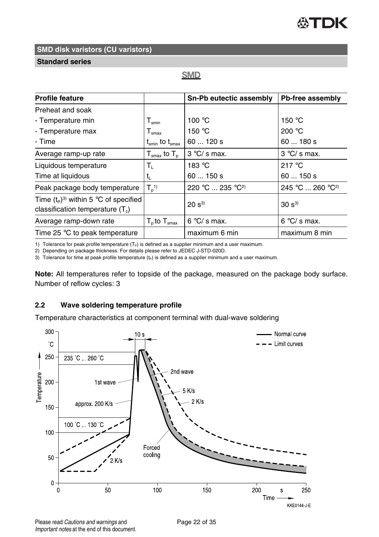**Standard series**

## **SMD**

| <b>Profile feature</b>                                                        |                                             | Sn-Pb eutectic assembly      | Pb-free assembly             |
|-------------------------------------------------------------------------------|---------------------------------------------|------------------------------|------------------------------|
| Preheat and soak                                                              |                                             |                              |                              |
| - Temperature min                                                             | ${\mathsf T}_{\mathsf{smin}}$               | 100 °C                       | 150 $\degree$ C              |
| - Temperature max                                                             | $T_{\rm smax}$                              | 150 $\degree$ C              | 200 $°C$                     |
| - Time                                                                        | $t_{\rm smin}$ to $t_{\rm smax}$            | 60120s                       | 60  180 s                    |
| Average ramp-up rate                                                          | ${\sf T}_{\sf smax}$ to ${\sf T}_{\sf p}$ . | $3^{\circ}$ C/s max.         | $3^{\circ}$ C/s max.         |
| Liquidous temperature                                                         | Т,                                          | 183 °C                       | 217 $\degree$ C              |
| Time at liquidous                                                             | t,                                          | 60150s                       | 60150s                       |
| Peak package body temperature                                                 | $T_n$ <sup>1)</sup>                         | 220 °C  235 °C <sup>2)</sup> | 245 °C  260 °C <sup>2)</sup> |
| Time $(t_P)^3$ within 5 °C of specified<br>classification temperature $(T_c)$ |                                             | $20 s^{3}$                   | $30 s^{3}$                   |
| Average ramp-down rate                                                        | $T_{p}$ to $T_{\text{smax}}$                | $6°C/s$ max.                 | $6^{\circ}$ C/s max.         |
| Time 25 °C to peak temperature                                                |                                             | maximum 6 min                | maximum 8 min                |

1) Tolerance for peak profile temperature  $(T_P)$  is defined as a supplier minimum and a user maximum.

2) Depending on package thickness. For details please refer to JEDEC J-STD-020D.

3) Tolerance for time at peak profile temperature  $(t_P)$  is defined as a supplier minimum and a user maximum.

**Note:** All temperatures refer to topside of the package, measured on the package body surface. Number of reflow cycles: 3

#### **2.2 Wave soldering temperature profile**

Temperature characteristics at component terminal with dual-wave soldering



Please read Cautions and warnings and <br>
Page 22 of 35 Important notes at the end of this document.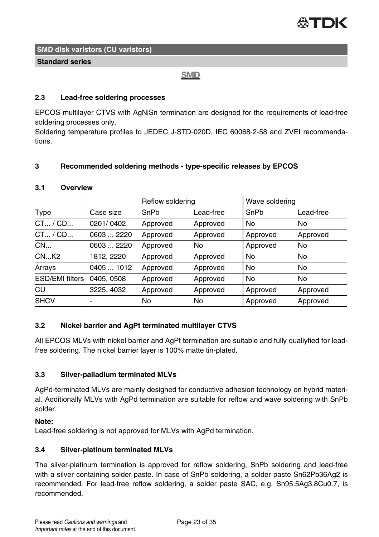

#### **Standard series**

#### **SMD**

#### **2.3 Lead-free soldering processes**

EPCOS multilayer CTVS with AgNiSn termination are designed for the requirements of lead-free soldering processes only.

Soldering temperature profiles to JEDEC J-STD-020D, IEC 60068-2-58 and ZVEI recommendations.

#### **3 Recommended soldering methods - type-specific releases by EPCOS**

#### **3.1 Overview**

|                        |            | Reflow soldering |           | Wave soldering |           |
|------------------------|------------|------------------|-----------|----------------|-----------|
| Type                   | Case size  | SnPb             | Lead-free | SnPb           | Lead-free |
| CT / CD                | 0201/0402  | Approved         | Approved  | <b>No</b>      | No        |
| CT / CD                | 0603  2220 | Approved         | Approved  | Approved       | Approved  |
| CN                     | 0603  2220 | Approved         | No        | Approved       | No        |
| CNK2                   | 1812, 2220 | Approved         | Approved  | <b>No</b>      | No        |
| Arrays                 | 0405  1012 | Approved         | Approved  | <b>No</b>      | No        |
| <b>ESD/EMI filters</b> | 0405, 0508 | Approved         | Approved  | <b>No</b>      | No        |
| CU                     | 3225, 4032 | Approved         | Approved  | Approved       | Approved  |
| <b>SHCV</b>            |            | No               | No        | Approved       | Approved  |

#### **3.2 Nickel barrier and AgPt terminated multilayer CTVS**

All EPCOS MLVs with nickel barrier and AgPt termination are suitable and fully qualiyfied for leadfree soldering. The nickel barrier layer is 100% matte tin-plated.

#### **3.3 Silver-palladium terminated MLVs**

AgPd-terminated MLVs are mainly designed for conductive adhesion technology on hybrid material. Additionally MLVs with AgPd termination are suitable for reflow and wave soldering with SnPb solder.

#### **Note:**

Lead-free soldering is not approved for MLVs with AgPd termination.

#### **3.4 Silver-platinum terminated MLVs**

The silver-platinum termination is approved for reflow soldering, SnPb soldering and lead-free with a silver containing solder paste. In case of SnPb soldering, a solder paste Sn62Pb36Ag2 is recommended. For lead-free reflow soldering, a solder paste SAC, e.g. Sn95.5Ag3.8Cu0.7, is recommended.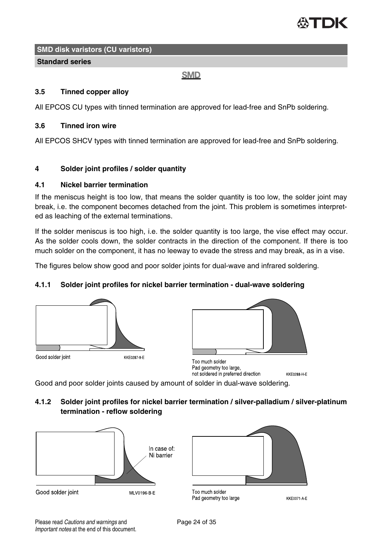

#### **Standard series**

#### **SMD**

#### **3.5 Tinned copper alloy**

All EPCOS CU types with tinned termination are approved for lead-free and SnPb soldering.

#### **3.6 Tinned iron wire**

All EPCOS SHCV types with tinned termination are approved for lead-free and SnPb soldering.

#### **4 Solder joint profiles / solder quantity**

#### **4.1 Nickel barrier termination**

If the meniscus height is too low, that means the solder quantity is too low, the solder joint may break, i.e. the component becomes detached from the joint. This problem is sometimes interpreted as leaching of the external terminations.

If the solder meniscus is too high, i.e. the solder quantity is too large, the vise effect may occur. As the solder cools down, the solder contracts in the direction of the component. If there is too much solder on the component, it has no leeway to evade the stress and may break, as in a vise.

The figures below show good and poor solder joints for dual-wave and infrared soldering.

#### **4.1.1 Solder joint profiles for nickel barrier termination - dual-wave soldering**





Too much solder Pad geometry too large, not soldered in preferred direction **KKE0288 H E** 

Good and poor solder joints caused by amount of solder in dual-wave soldering.

**4.1.2 Solder joint profiles for nickel barrier termination / silver-palladium / silver-platinum termination - reflow soldering**





Too much solder Pad geometry too large

**KKE0071 A E**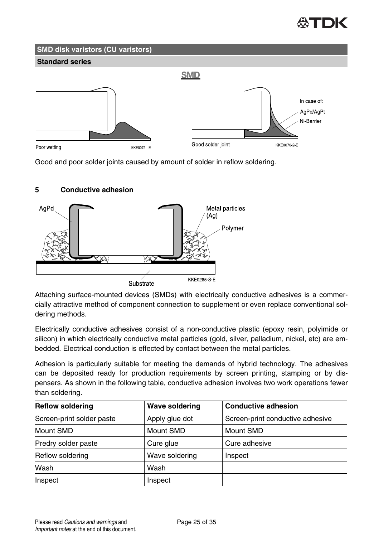## **SMD disk varistors (CU varistors) Standard series SMD** In case of: AaPd/AaPt Ni-Barrier Good solder joint KKE0070-2-E Poor wetting **KKF0072 LF**

Good and poor solder joints caused by amount of solder in reflow soldering.

#### **5 Conductive adhesion**



Attaching surface-mounted devices (SMDs) with electrically conductive adhesives is a commercially attractive method of component connection to supplement or even replace conventional soldering methods.

Electrically conductive adhesives consist of a non-conductive plastic (epoxy resin, polyimide or silicon) in which electrically conductive metal particles (gold, silver, palladium, nickel, etc) are embedded. Electrical conduction is effected by contact between the metal particles.

Adhesion is particularly suitable for meeting the demands of hybrid technology. The adhesives can be deposited ready for production requirements by screen printing, stamping or by dispensers. As shown in the following table, conductive adhesion involves two work operations fewer than soldering.

| <b>Reflow soldering</b>   | Wave soldering | <b>Conductive adhesion</b>       |
|---------------------------|----------------|----------------------------------|
| Screen-print solder paste | Apply glue dot | Screen-print conductive adhesive |
| Mount SMD                 | Mount SMD      | Mount SMD                        |
| Predry solder paste       | Cure glue      | Cure adhesive                    |
| Reflow soldering          | Wave soldering | Inspect                          |
| Wash                      | Wash           |                                  |
| Inspect                   | Inspect        |                                  |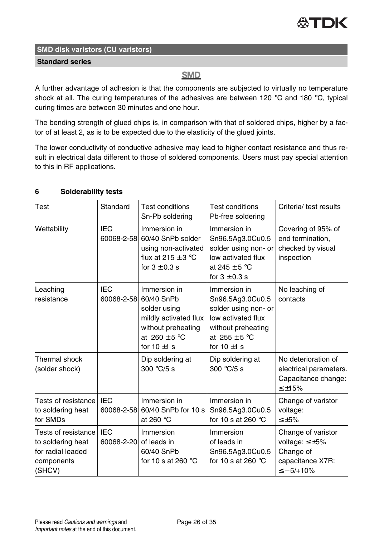#### **Standard series**

## **SMD**

A further advantage of adhesion is that the components are subjected to virtually no temperature shock at all. The curing temperatures of the adhesives are between 120 °C and 180 °C, typical curing times are between 30 minutes and one hour.

The bending strength of glued chips is, in comparison with that of soldered chips, higher by a factor of at least 2, as is to be expected due to the elasticity of the glued joints.

The lower conductivity of conductive adhesive may lead to higher contact resistance and thus result in electrical data different to those of soldered components. Users must pay special attention to this in RF applications.

| 6 | <b>Solderability tests</b> |  |
|---|----------------------------|--|
|---|----------------------------|--|

| Test                                                                                  | Standard                 | <b>Test conditions</b><br>Sn-Pb soldering                                                                                          | Test conditions<br>Pb-free soldering                                                                                                          | Criteria/ test results                                                                           |
|---------------------------------------------------------------------------------------|--------------------------|------------------------------------------------------------------------------------------------------------------------------------|-----------------------------------------------------------------------------------------------------------------------------------------------|--------------------------------------------------------------------------------------------------|
| Wettability                                                                           | <b>IEC</b><br>60068-2-58 | Immersion in<br>60/40 SnPb solder<br>using non-activated<br>flux at $215 \pm 3$ °C<br>for $3 \pm 0.3$ s                            | Immersion in<br>Sn96.5Ag3.0Cu0.5<br>solder using non- or<br>low activated flux<br>at 245 $\pm$ 5 °C<br>for $3 \pm 0.3$ s                      | Covering of 95% of<br>end termination.<br>checked by visual<br>inspection                        |
| Leaching<br>resistance                                                                | IFC<br>60068-2-58        | Immersion in<br>60/40 SnPb<br>solder using<br>mildly activated flux<br>without preheating<br>at $260 \pm 5$ °C<br>for $10 \pm 1$ s | Immersion in<br>Sn96.5Ag3.0Cu0.5<br>solder using non- or<br>low activated flux<br>without preheating<br>at $255 \pm 5$ °C<br>for $10 \pm 1$ s | No leaching of<br>contacts                                                                       |
| Thermal shock<br>(solder shock)                                                       |                          | Dip soldering at<br>300 $°C/5$ s                                                                                                   | Dip soldering at<br>300 $\degree$ C/5 s                                                                                                       | No deterioration of<br>electrical parameters.<br>Capacitance change:<br>$\leq$ +15%              |
| Tests of resistance<br>to soldering heat<br>for SMDs                                  | IFC<br>60068-2-58        | Immersion in<br>60/40 SnPb for 10 s<br>at 260 °C                                                                                   | Immersion in<br>Sn96.5Ag3.0Cu0.5<br>for 10 s at 260 $\degree$ C                                                                               | Change of varistor<br>voltage:<br>$\leq \pm 5\%$                                                 |
| Tests of resistance<br>to soldering heat<br>for radial leaded<br>components<br>(SHCV) | <b>IEC</b><br>60068-2-20 | Immersion<br>of leads in<br>60/40 SnPb<br>for 10 s at 260 $^{\circ}$ C                                                             | Immersion<br>of leads in<br>Sn96.5Ag3.0Cu0.5<br>for 10 s at 260 $\degree$ C                                                                   | Change of varistor<br>voltage: $\leq \pm 5\%$<br>Change of<br>capacitance X7R:<br>$\le -5/+10\%$ |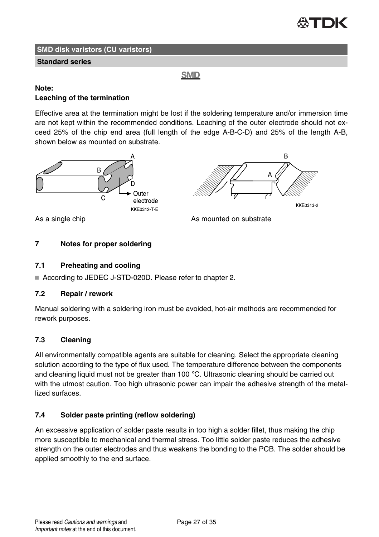

B

**KKE0313-2** 

#### **SMD disk varistors (CU varistors)**

#### **Standard series**

**SMD** 

#### **Note: Leaching of the termination**

Effective area at the termination might be lost if the soldering temperature and/or immersion time are not kept within the recommended conditions. Leaching of the outer electrode should not exceed 25% of the chip end area (full length of the edge A-B-C-D) and 25% of the length A-B, shown below as mounted on substrate.



As a single chip and a substrate As mounted on substrate

#### **7 Notes for proper soldering**

#### **7.1 Preheating and cooling**

■ According to JEDEC J-STD-020D. Please refer to chapter 2.

#### **7.2 Repair / rework**

Manual soldering with a soldering iron must be avoided, hot-air methods are recommended for rework purposes.

#### **7.3 Cleaning**

All environmentally compatible agents are suitable for cleaning. Select the appropriate cleaning solution according to the type of flux used. The temperature difference between the components and cleaning liquid must not be greater than 100  $^{\circ}$ C. Ultrasonic cleaning should be carried out with the utmost caution. Too high ultrasonic power can impair the adhesive strength of the metallized surfaces.

#### **7.4 Solder paste printing (reflow soldering)**

An excessive application of solder paste results in too high a solder fillet, thus making the chip more susceptible to mechanical and thermal stress. Too little solder paste reduces the adhesive strength on the outer electrodes and thus weakens the bonding to the PCB. The solder should be applied smoothly to the end surface.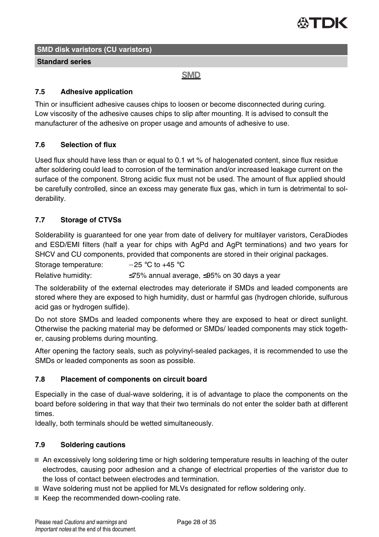

**Standard series**

**SMD** 

#### **7.5 Adhesive application**

Thin or insufficient adhesive causes chips to loosen or become disconnected during curing. Low viscosity of the adhesive causes chips to slip after mounting. It is advised to consult the manufacturer of the adhesive on proper usage and amounts of adhesive to use.

#### **7.6 Selection of flux**

Used flux should have less than or equal to 0.1 wt % of halogenated content, since flux residue after soldering could lead to corrosion of the termination and/or increased leakage current on the surface of the component. Strong acidic flux must not be used. The amount of flux applied should be carefully controlled, since an excess may generate flux gas, which in turn is detrimental to solderability.

## **7.7 Storage of CTVSs**

Solderability is guaranteed for one year from date of delivery for multilayer varistors, CeraDiodes and ESD/EMI filters (half a year for chips with AgPd and AgPt terminations) and two years for SHCV and CU components, provided that components are stored in their original packages.

Storage temperature:  $-25 °C$  to +45 °C

Relative humidity:  $\leq 75\%$  annual average,  $\leq 95\%$  on 30 days a year

The solderability of the external electrodes may deteriorate if SMDs and leaded components are stored where they are exposed to high humidity, dust or harmful gas (hydrogen chloride, sulfurous acid gas or hydrogen sulfide).

Do not store SMDs and leaded components where they are exposed to heat or direct sunlight. Otherwise the packing material may be deformed or SMDs/ leaded components may stick together, causing problems during mounting.

After opening the factory seals, such as polyvinyl-sealed packages, it is recommended to use the SMDs or leaded components as soon as possible.

#### **7.8 Placement of components on circuit board**

Especially in the case of dual-wave soldering, it is of advantage to place the components on the board before soldering in that way that their two terminals do not enter the solder bath at different times.

Ideally, both terminals should be wetted simultaneously.

## **7.9 Soldering cautions**

- An excessively long soldering time or high soldering temperature results in leaching of the outer electrodes, causing poor adhesion and a change of electrical properties of the varistor due to the loss of contact between electrodes and termination.
- Wave soldering must not be applied for MLVs designated for reflow soldering only.
- Keep the recommended down-cooling rate.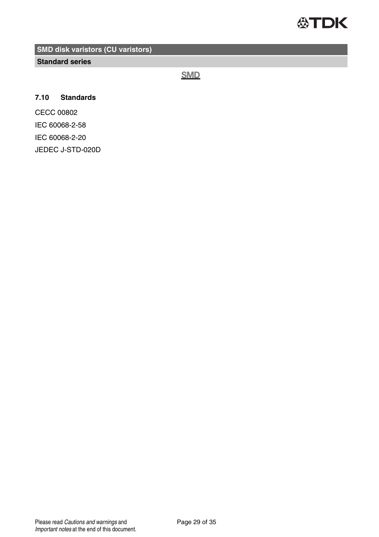

**Standard series**

**SMD** 

### **7.10 Standards**

CECC 00802 IEC 60068-2-58 IEC 60068-2-20 JEDEC J-STD-020D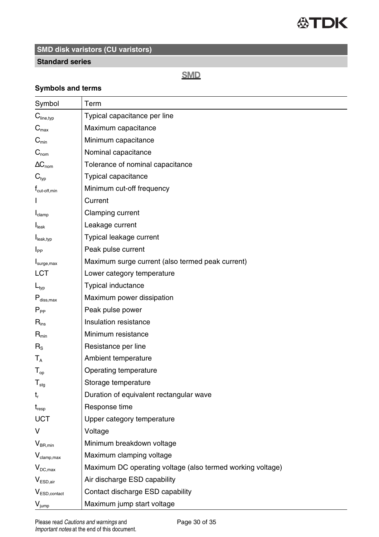

#### **Standard series**

## **SMD**

## **Symbols and terms**

| Symbol                    | Term                                                       |
|---------------------------|------------------------------------------------------------|
| $C_{\text{line,typ}}$     | Typical capacitance per line                               |
| $C_{\text{max}}$          | Maximum capacitance                                        |
| $C_{\text{min}}$          | Minimum capacitance                                        |
| $\mathbf{C}_{\text{nom}}$ | Nominal capacitance                                        |
| $\Delta C_{\text{nom}}$   | Tolerance of nominal capacitance                           |
| $\mathbf{C}_{\text{typ}}$ | Typical capacitance                                        |
| $t_{\text{cut-off,min}}$  | Minimum cut-off frequency                                  |
|                           | Current                                                    |
| $I_{clamp}$               | Clamping current                                           |
| I <sub>leak</sub>         | Leakage current                                            |
| $I_{\text{leak,typ}}$     | Typical leakage current                                    |
| $I_{PP}$                  | Peak pulse current                                         |
| I <sub>surge,max</sub>    | Maximum surge current (also termed peak current)           |
| LCT                       | Lower category temperature                                 |
| $L_{\text{typ}}$          | Typical inductance                                         |
| $P_{\text{diss.max}}$     | Maximum power dissipation                                  |
| $P_{\sf pp}$              | Peak pulse power                                           |
| $R_{ins}$                 | Insulation resistance                                      |
| $R_{min}$                 | Minimum resistance                                         |
| $R_{\rm S}$               | Resistance per line                                        |
| $T_{A}$                   | Ambient temperature                                        |
| $T_{op}$                  | Operating temperature                                      |
| $T_{\text{stg}}$          | Storage temperature                                        |
| t,                        | Duration of equivalent rectangular wave                    |
| $t_{resp}$                | Response time                                              |
| UCT                       | Upper category temperature                                 |
| v                         | Voltage                                                    |
| $V_{BR,min}$              | Minimum breakdown voltage                                  |
| $V_{\text{clamp,max}}$    | Maximum clamping voltage                                   |
| $V_{DC,max}$              | Maximum DC operating voltage (also termed working voltage) |
| $V_{ESD.air}$             | Air discharge ESD capability                               |
| V <sub>ESD,contact</sub>  | Contact discharge ESD capability                           |
| $V_{jump}$                | Maximum jump start voltage                                 |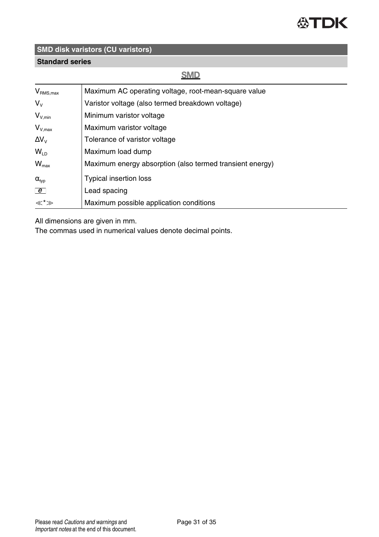

## **Standard series**

## **SMD**

| $V_{\text{RMS},\text{max}}$ | Maximum AC operating voltage, root-mean-square value     |
|-----------------------------|----------------------------------------------------------|
| $V_{\rm v}$                 | Varistor voltage (also termed breakdown voltage)         |
| $V_{V,min}$                 | Minimum varistor voltage                                 |
| $V_{V,max}$                 | Maximum varistor voltage                                 |
| $\Delta V_{V}$              | Tolerance of varistor voltage                            |
| $W_{LD}$                    | Maximum load dump                                        |
| $W_{\text{max}}$            | Maximum energy absorption (also termed transient energy) |
| $\alpha_{\text{typ}}$       | Typical insertion loss                                   |
| e                           | Lead spacing                                             |
| ≪*≫                         | Maximum possible application conditions                  |

All dimensions are given in mm.

The commas used in numerical values denote decimal points.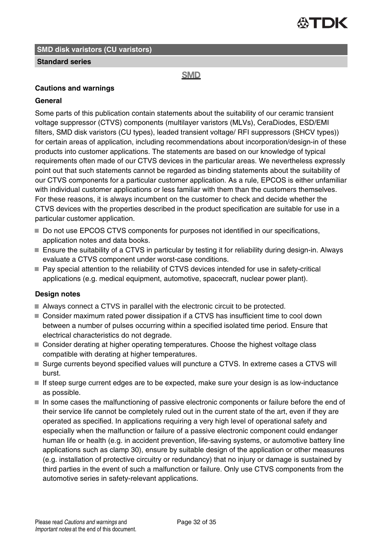

#### **Standard series**

#### **SMD**

#### **Cautions and warnings**

#### **General**

Some parts of this publication contain statements about the suitability of our ceramic transient voltage suppressor (CTVS) components (multilayer varistors (MLVs), CeraDiodes, ESD/EMI filters, SMD disk varistors (CU types), leaded transient voltage/ RFI suppressors (SHCV types)) for certain areas of application, including recommendations about incorporation/design-in of these products into customer applications. The statements are based on our knowledge of typical requirements often made of our CTVS devices in the particular areas. We nevertheless expressly point out that such statements cannot be regarded as binding statements about the suitability of our CTVS components for a particular customer application. As a rule, EPCOS is either unfamiliar with individual customer applications or less familiar with them than the customers themselves. For these reasons, it is always incumbent on the customer to check and decide whether the CTVS devices with the properties described in the product specification are suitable for use in a particular customer application.

- Do not use EPCOS CTVS components for purposes not identified in our specifications, application notes and data books.
- Ensure the suitability of a CTVS in particular by testing it for reliability during design-in. Always evaluate a CTVS component under worst-case conditions.
- Pay special attention to the reliability of CTVS devices intended for use in safety-critical applications (e.g. medical equipment, automotive, spacecraft, nuclear power plant).

#### **Design notes**

- Always connect a CTVS in parallel with the electronic circuit to be protected.
- Consider maximum rated power dissipation if a CTVS has insufficient time to cool down between a number of pulses occurring within a specified isolated time period. Ensure that electrical characteristics do not degrade.
- Consider derating at higher operating temperatures. Choose the highest voltage class compatible with derating at higher temperatures.
- Surge currents beyond specified values will puncture a CTVS. In extreme cases a CTVS will burst.
- If steep surge current edges are to be expected, make sure your design is as low-inductance as possible.
- $\blacksquare$  In some cases the malfunctioning of passive electronic components or failure before the end of their service life cannot be completely ruled out in the current state of the art, even if they are operated as specified. In applications requiring a very high level of operational safety and especially when the malfunction or failure of a passive electronic component could endanger human life or health (e.g. in accident prevention, life-saving systems, or automotive battery line applications such as clamp 30), ensure by suitable design of the application or other measures (e.g. installation of protective circuitry or redundancy) that no injury or damage is sustained by third parties in the event of such a malfunction or failure. Only use CTVS components from the automotive series in safety-relevant applications.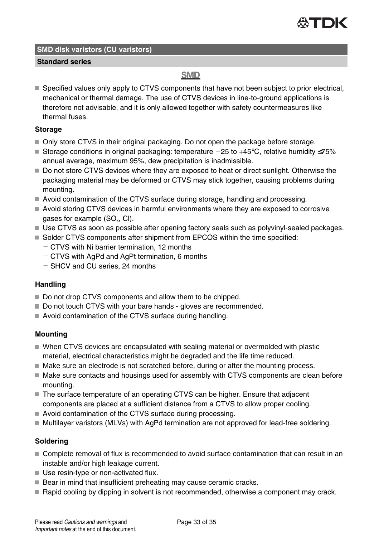

#### **Standard series**

## **SMD**

■ Specified values only apply to CTVS components that have not been subject to prior electrical, mechanical or thermal damage. The use of CTVS devices in line-to-ground applications is therefore not advisable, and it is only allowed together with safety countermeasures like thermal fuses.

#### **Storage**

- Only store CTVS in their original packaging. Do not open the package before storage.
- Storage conditions in original packaging: temperature  $-25$  to  $+45^{\circ}$ C, relative humidity ≤75% annual average, maximum 95%, dew precipitation is inadmissible.
- Do not store CTVS devices where they are exposed to heat or direct sunlight. Otherwise the packaging material may be deformed or CTVS may stick together, causing problems during mounting.
- Avoid contamination of the CTVS surface during storage, handling and processing.
- Avoid storing CTVS devices in harmful environments where they are exposed to corrosive gases for example (SO $_{\sf x}$ , CI).
- Use CTVS as soon as possible after opening factory seals such as polyvinyl-sealed packages.
- Solder CTVS components after shipment from EPCOS within the time specified:
	- CTVS with Ni barrier termination, 12 months
	- CTVS with AgPd and AgPt termination, 6 months
	- SHCV and CU series, 24 months

#### **Handling**

- Do not drop CTVS components and allow them to be chipped.
- Do not touch CTVS with your bare hands gloves are recommended.
- Avoid contamination of the CTVS surface during handling.

#### **Mounting**

- When CTVS devices are encapsulated with sealing material or overmolded with plastic material, electrical characteristics might be degraded and the life time reduced.
- $\blacksquare$  Make sure an electrode is not scratched before, during or after the mounting process.
- $\blacksquare$  Make sure contacts and housings used for assembly with CTVS components are clean before mounting.
- The surface temperature of an operating CTVS can be higher. Ensure that adjacent components are placed at a sufficient distance from a CTVS to allow proper cooling.
- Avoid contamination of the CTVS surface during processing.
- Multilayer varistors (MLVs) with AgPd termination are not approved for lead-free soldering.

#### **Soldering**

- Complete removal of flux is recommended to avoid surface contamination that can result in an instable and/or high leakage current.
- Use resin-type or non-activated flux.
- $\blacksquare$  Bear in mind that insufficient preheating may cause ceramic cracks.
- Rapid cooling by dipping in solvent is not recommended, otherwise a component may crack.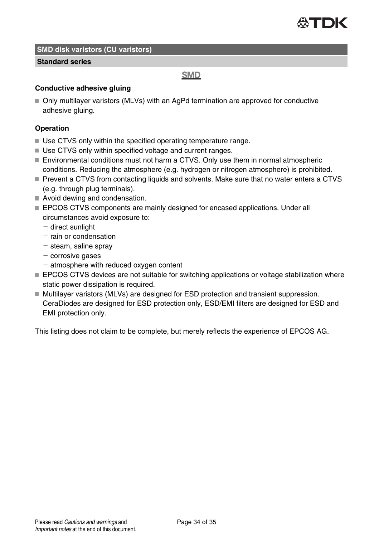

#### **Standard series**

#### **SMD**

#### **Conductive adhesive gluing**

■ Only multilayer varistors (MLVs) with an AgPd termination are approved for conductive adhesive gluing.

#### **Operation**

- Use CTVS only within the specified operating temperature range.
- Use CTVS only within specified voltage and current ranges.
- Environmental conditions must not harm a CTVS. Only use them in normal atmospheric conditions. Reducing the atmosphere (e.g. hydrogen or nitrogen atmosphere) is prohibited.
- Prevent a CTVS from contacting liquids and solvents. Make sure that no water enters a CTVS (e.g. through plug terminals).
- Avoid dewing and condensation.
- **EPCOS CTVS components are mainly designed for encased applications. Under all** circumstances avoid exposure to:
	- $-$  direct sunlight
	- $-$  rain or condensation
	- $-$  steam, saline spray
	- $-$  corrosive gases
	- $-$  atmosphere with reduced oxygen content
- **EPCOS CTVS devices are not suitable for switching applications or voltage stabilization where** static power dissipation is required.
- Multilayer varistors (MLVs) are designed for ESD protection and transient suppression. CeraDiodes are designed for ESD protection only, ESD/EMI filters are designed for ESD and EMI protection only.

This listing does not claim to be complete, but merely reflects the experience of EPCOS AG.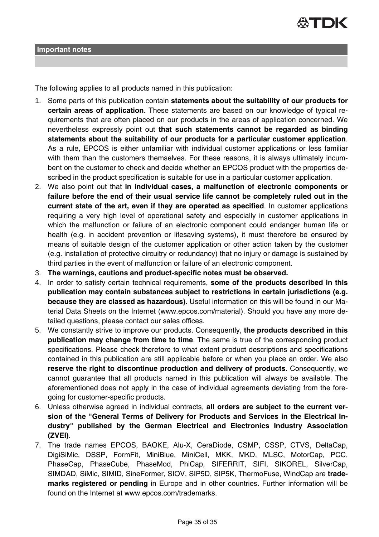

The following applies to all products named in this publication:

- 1. Some parts of this publication contain **statements about the suitability of our products for certain areas of application**. These statements are based on our knowledge of typical requirements that are often placed on our products in the areas of application concerned. We nevertheless expressly point out **that such statements cannot be regarded as binding statements about the suitability of our products for a particular customer application**. As a rule, EPCOS is either unfamiliar with individual customer applications or less familiar with them than the customers themselves. For these reasons, it is always ultimately incumbent on the customer to check and decide whether an EPCOS product with the properties described in the product specification is suitable for use in a particular customer application.
- 2. We also point out that **in individual cases, a malfunction of electronic components or failure before the end of their usual service life cannot be completely ruled out in the current state of the art, even if they are operated as specified**. In customer applications requiring a very high level of operational safety and especially in customer applications in which the malfunction or failure of an electronic component could endanger human life or health (e.g. in accident prevention or lifesaving systems), it must therefore be ensured by means of suitable design of the customer application or other action taken by the customer (e.g. installation of protective circuitry or redundancy) that no injury or damage is sustained by third parties in the event of malfunction or failure of an electronic component.
- 3. **The warnings, cautions and product-specific notes must be observed.**
- 4. In order to satisfy certain technical requirements, **some of the products described in this publication may contain substances subject to restrictions in certain jurisdictions (e.g. because they are classed as hazardous)**. Useful information on this will be found in our Material Data Sheets on the Internet (www.epcos.com/material). Should you have any more detailed questions, please contact our sales offices.
- 5. We constantly strive to improve our products. Consequently, **the products described in this publication may change from time to time**. The same is true of the corresponding product specifications. Please check therefore to what extent product descriptions and specifications contained in this publication are still applicable before or when you place an order. We also **reserve the right to discontinue production and delivery of products**. Consequently, we cannot guarantee that all products named in this publication will always be available. The aforementioned does not apply in the case of individual agreements deviating from the foregoing for customer-specific products.
- 6. Unless otherwise agreed in individual contracts, **all orders are subject to the current version of the "General Terms of Delivery for Products and Services in the Electrical Industry" published by the German Electrical and Electronics Industry Association (ZVEI)**.
- 7. The trade names EPCOS, BAOKE, Alu-X, CeraDiode, CSMP, CSSP, CTVS, DeltaCap, DigiSiMic, DSSP, FormFit, MiniBlue, MiniCell, MKK, MKD, MLSC, MotorCap, PCC, PhaseCap, PhaseCube, PhaseMod, PhiCap, SIFERRIT, SIFI, SIKOREL, SilverCap, SIMDAD, SiMic, SIMID, SineFormer, SIOV, SIP5D, SIP5K, ThermoFuse, WindCap are **trademarks registered or pending** in Europe and in other countries. Further information will be found on the Internet at www.epcos.com/trademarks.